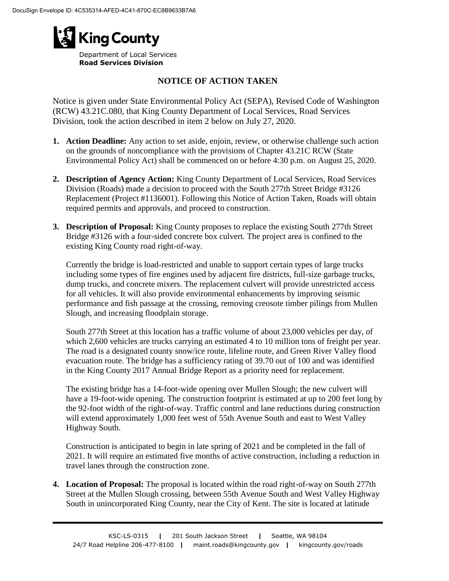

**Road Services Division**

## **NOTICE OF ACTION TAKEN**

Notice is given under State Environmental Policy Act (SEPA), Revised Code of Washington (RCW) 43.21C.080, that King County Department of Local Services, Road Services Division, took the action described in item 2 below on July 27, 2020.

- **1. Action Deadline:** Any action to set aside, enjoin, review, or otherwise challenge such action on the grounds of noncompliance with the provisions of Chapter 43.21C RCW (State Environmental Policy Act) shall be commenced on or before 4:30 p.m. on August 25, 2020.
- **2. Description of Agency Action:** King County Department of Local Services, Road Services Division (Roads) made a decision to proceed with the South 277th Street Bridge #3126 Replacement (Project #1136001). Following this Notice of Action Taken, Roads will obtain required permits and approvals, and proceed to construction.
- **3. Description of Proposal:** King County proposes to replace the existing South 277th Street Bridge #3126 with a four-sided concrete box culvert. The project area is confined to the existing King County road right-of-way.

Currently the bridge is load-restricted and unable to support certain types of large trucks including some types of fire engines used by adjacent fire districts, full-size garbage trucks, dump trucks, and concrete mixers. The replacement culvert will provide unrestricted access for all vehicles. It will also provide environmental enhancements by improving seismic performance and fish passage at the crossing, removing creosote timber pilings from Mullen Slough, and increasing floodplain storage.

South 277th Street at this location has a traffic volume of about 23,000 vehicles per day, of which 2,600 vehicles are trucks carrying an estimated 4 to 10 million tons of freight per year. The road is a designated county snow/ice route, lifeline route, and Green River Valley flood evacuation route. The bridge has a sufficiency rating of 39.70 out of 100 and was identified in the King County 2017 Annual Bridge Report as a priority need for replacement.

The existing bridge has a 14-foot-wide opening over Mullen Slough; the new culvert will have a 19-foot-wide opening. The construction footprint is estimated at up to 200 feet long by the 92-foot width of the right-of-way. Traffic control and lane reductions during construction will extend approximately 1,000 feet west of 55th Avenue South and east to West Valley Highway South.

Construction is anticipated to begin in late spring of 2021 and be completed in the fall of 2021. It will require an estimated five months of active construction, including a reduction in travel lanes through the construction zone.

**4. Location of Proposal:** The proposal is located within the road right-of-way on South 277th Street at the Mullen Slough crossing, between 55th Avenue South and West Valley Highway South in unincorporated King County, near the City of Kent. The site is located at latitude